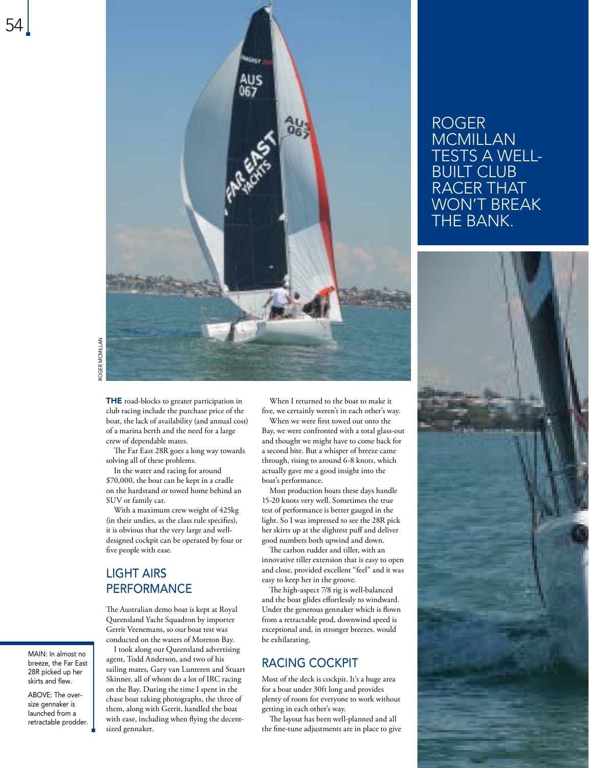

THE road-blocks to greater participation in club racing include the purchase price of the boat, the lack of availability (and annual cost) of a marina berth and the need for a large crew of dependable mates.

The Far East 28R goes a long way towards solving all of these problems.

In the water and racing for around \$70,000, the boat can be kept in a cradle on the hardstand or towed home behind an SUV or family car.

With a maximum crew weight of 425kg (in their undies, as the class rule specifies), it is obvious that the very large and welldesigned cockpit can be operated by four or five people with ease.

## LIGHT AIRS **PERFORMANCE**

The Australian demo boat is kept at Royal Queensland Yacht Squadron by importer Gerrit Veenemans, so our boat test was conducted on the waters of Moreton Bay.

I took along our Queensland advertising agent, Todd Anderson, and two of his sailing mates, Gary van Lunteren and Stuart Skinner, all of whom do a lot of IRC racing on the Bay. During the time I spent in the chase boat taking photographs, the three of them, along with Gerrit, handled the boat with ease, including when flying the decentsized gennaker.

When I returned to the boat to make it five, we certainly weren't in each other's way.

When we were first towed out onto the Bay, we were confronted with a total glass-out and thought we might have to come back for a second bite. But a whisper of breeze came through, rising to around 6-8 knots, which actually gave me a good insight into the boat's performance.

Most production boats these days handle 15-20 knots very well. Sometimes the true test of performance is better gauged in the light. So I was impressed to see the 28R pick her skirts up at the slightest puff and deliver good numbers both upwind and down.

The carbon rudder and tiller, with an innovative tiller extension that is easy to open and close, provided excellent "feel" and it was easy to keep her in the groove.

The high-aspect 7/8 rig is well-balanced and the boat glides effortlessly to windward. Under the generous gennaker which is flown from a retractable prod, downwind speed is exceptional and, in stronger breezes, would be exhilarating.

#### RACING COCKPIT

Most of the deck is cockpit. It's a huge area for a boat under 30ft long and provides plenty of room for everyone to work without getting in each other's way.

The layout has been well-planned and all the fine-tune adjustments are in place to give

# ROGER MCMILLAN TESTS A WELL-BUILT CLUB RACER THAT WON'T BREAK THE BANK.



MAIN: In almost no breeze, the Far East 28R picked up her skirts and flew.

ABOVE: The oversize gennaker is launched from a retractable prodder.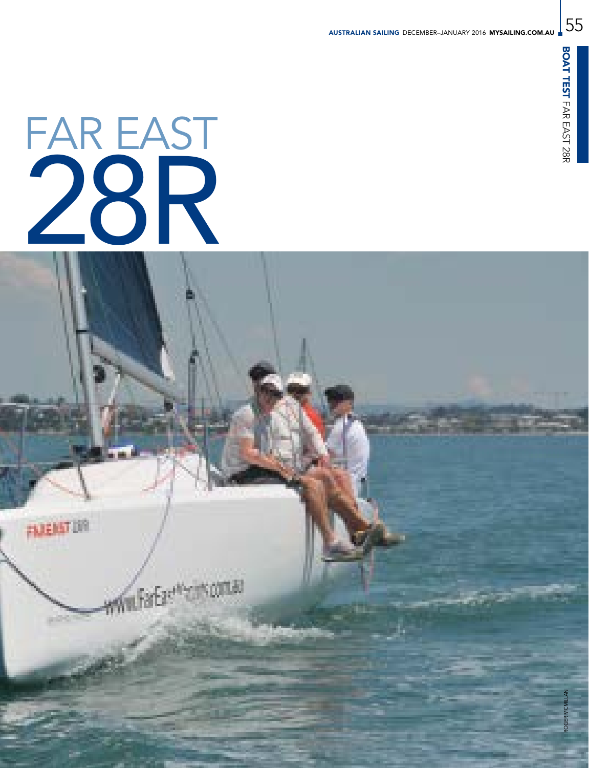55

# FAR EAST 28R

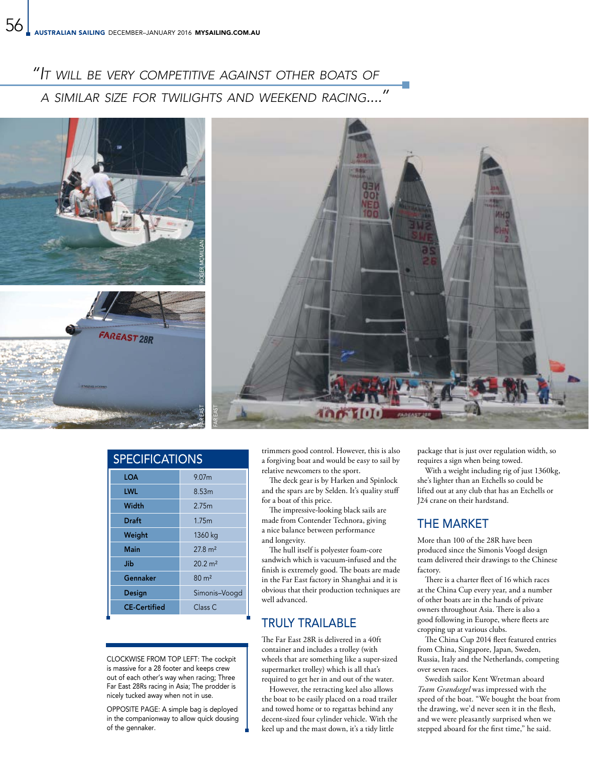# *"It will be very competitive against other boats of*

 *a similar size for twilights and weekend racing...."*



| <b>SPECIFICATIONS</b> |                    |
|-----------------------|--------------------|
| <b>LOA</b>            | 9.07 <sub>m</sub>  |
| LWL                   | 8.53m              |
| Width                 | 2.75m              |
| Draft                 | 1.75m              |
| Weight                | 1360 kg            |
| Main                  | $27.8 \text{ m}^2$ |
| Jib                   | $20.2 \text{ m}^2$ |
| Gennaker              | $80 \text{ m}^2$   |
| Design                | Simonis-Voogd      |
| <b>CE-Certified</b>   | Class <sub>C</sub> |
|                       |                    |

CLOCKWISE FROM TOP LEFT: The cockpit is massive for a 28 footer and keeps crew out of each other's way when racing; Three Far East 28Rs racing in Asia; The prodder is nicely tucked away when not in use.

OPPOSITE PAGE: A simple bag is deployed in the companionway to allow quick dousing of the gennaker.

trimmers good control. However, this is also a forgiving boat and would be easy to sail by relative newcomers to the sport.

The deck gear is by Harken and Spinlock and the spars are by Selden. It's quality stuff for a boat of this price.

The impressive-looking black sails are made from Contender Technora, giving a nice balance between performance and longevity.

The hull itself is polyester foam-core sandwich which is vacuum-infused and the finish is extremely good. The boats are made in the Far East factory in Shanghai and it is obvious that their production techniques are well advanced.

# TRULY TRAILABLE

The Far East 28R is delivered in a 40ft container and includes a trolley (with wheels that are something like a super-sized supermarket trolley) which is all that's required to get her in and out of the water.

However, the retracting keel also allows the boat to be easily placed on a road trailer and towed home or to regattas behind any decent-sized four cylinder vehicle. With the keel up and the mast down, it's a tidy little

package that is just over regulation width, so requires a sign when being towed.

With a weight including rig of just 1360kg, she's lighter than an Etchells so could be lifted out at any club that has an Etchells or J24 crane on their hardstand.

# THE MARKET

More than 100 of the 28R have been produced since the Simonis Voogd design team delivered their drawings to the Chinese factory.

There is a charter fleet of 16 which races at the China Cup every year, and a number of other boats are in the hands of private owners throughout Asia. There is also a good following in Europe, where fleets are cropping up at various clubs.

The China Cup 2014 fleet featured entries from China, Singapore, Japan, Sweden, Russia, Italy and the Netherlands, competing over seven races.

Swedish sailor Kent Wretman aboard *Team Grandsegel* was impressed with the speed of the boat. "We bought the boat from the drawing, we'd never seen it in the flesh, and we were pleasantly surprised when we stepped aboard for the first time," he said.